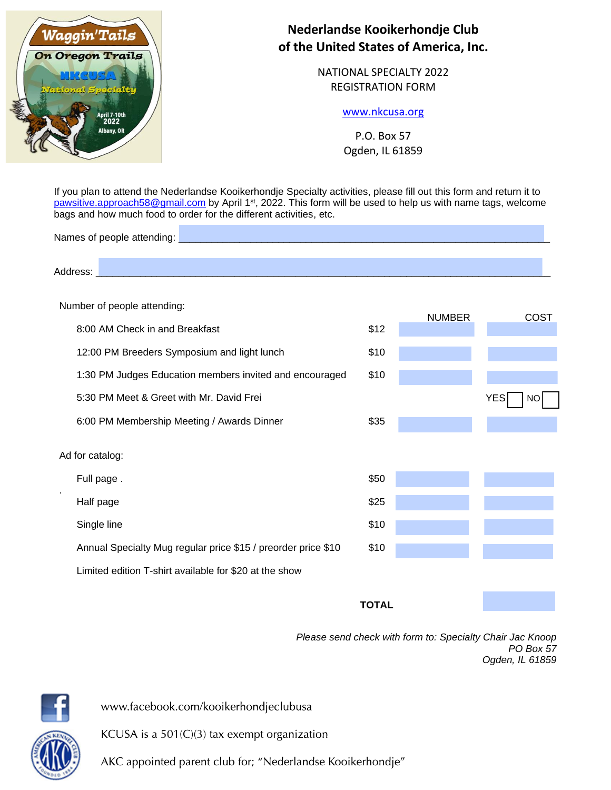

# **Nederlandse Kooikerhondje Club of the United States of America, Inc.**

NATIONAL SPECIALTY 2022 REGISTRATION FORM

## [www.nkcusa.org](http://www.nkcusa.org/)

P.O. Box 57 Ogden, IL 61859

If you plan to attend the Nederlandse Kooikerhondje Specialty activities, please fill out this form and return it to [pawsitive.approach58@gmail.com](mailto:pawsitive.approach58@gmail.com) by April 1<sup>st</sup>, 2022. This form will be used to help us with name tags, welcome bags and how much food to order for the different activities, etc.

Names of people attending:

Address: \_\_\_\_\_\_\_\_\_\_\_\_\_\_\_\_\_\_\_\_\_\_\_\_\_\_\_\_\_\_\_\_\_\_\_\_\_\_\_\_\_\_\_\_\_\_\_\_\_\_\_\_\_\_\_\_\_\_\_\_\_\_\_\_\_\_\_\_\_\_\_\_\_\_\_\_\_\_\_\_\_\_

#### Number of people attending:

|                 |                                                               |              | <b>NUMBER</b> | COST             |  |
|-----------------|---------------------------------------------------------------|--------------|---------------|------------------|--|
|                 | 8:00 AM Check in and Breakfast                                | \$12         |               |                  |  |
|                 | 12:00 PM Breeders Symposium and light lunch                   | \$10         |               |                  |  |
|                 | 1:30 PM Judges Education members invited and encouraged       | \$10         |               |                  |  |
|                 | 5:30 PM Meet & Greet with Mr. David Frei                      |              |               | <b>YES</b><br>NO |  |
|                 | 6:00 PM Membership Meeting / Awards Dinner                    | \$35         |               |                  |  |
| Ad for catalog: |                                                               |              |               |                  |  |
|                 | Full page.                                                    | \$50         |               |                  |  |
|                 | Half page                                                     | \$25         |               |                  |  |
|                 | Single line                                                   | \$10         |               |                  |  |
|                 | Annual Specialty Mug regular price \$15 / preorder price \$10 | \$10         |               |                  |  |
|                 | Limited edition T-shirt available for \$20 at the show        |              |               |                  |  |
|                 |                                                               | <b>TOTAL</b> |               |                  |  |

*Please send check with form to: Specialty Chair Jac Knoop PO Box 57 Ogden, IL 61859*

www.facebook.com/kooikerhondjeclubusa

KCUSA is a  $501(C)(3)$  tax exempt organization

AKC appointed parent club for; "Nederlandse Kooikerhondje"